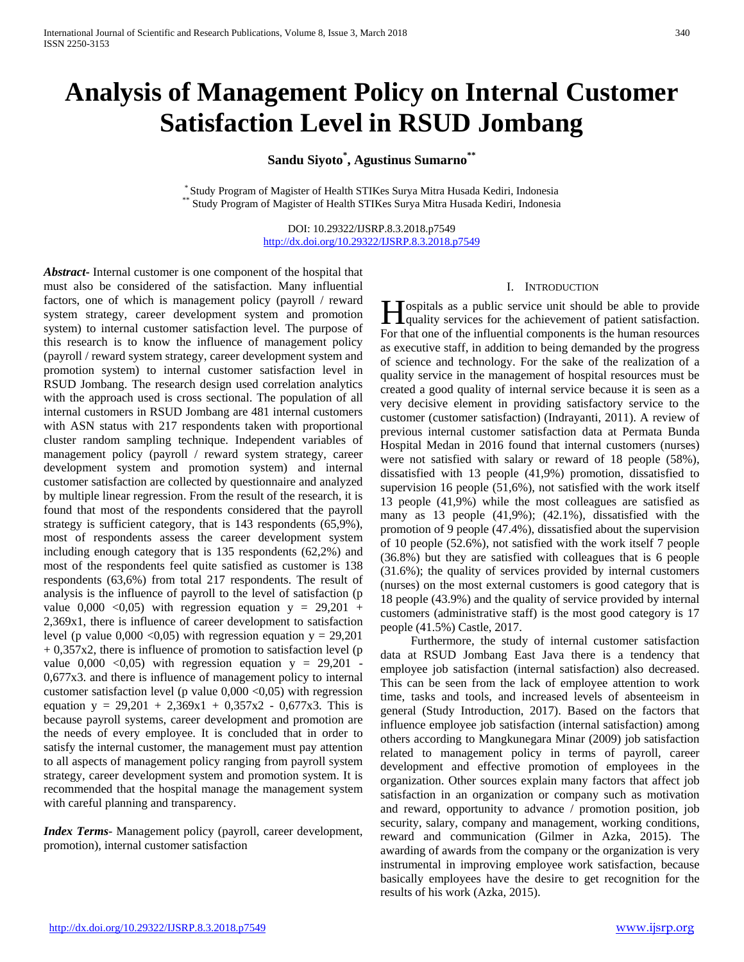# **Analysis of Management Policy on Internal Customer Satisfaction Level in RSUD Jombang**

**Sandu Siyoto\* , Agustinus Sumarno\*\***

 $\,^*$ Study Program of Magister of Health STIKes Surya Mitra Husada Kediri, Indonesia  $\,^*$  Study Program of Magister of Health STIKes Surya Mitra Husada Kediri, Indonesia

DOI: 10.29322/IJSRP.8.3.2018.p7549 <http://dx.doi.org/10.29322/IJSRP.8.3.2018.p7549>

*Abstract***-** Internal customer is one component of the hospital that must also be considered of the satisfaction. Many influential factors, one of which is management policy (payroll / reward system strategy, career development system and promotion system) to internal customer satisfaction level. The purpose of this research is to know the influence of management policy (payroll / reward system strategy, career development system and promotion system) to internal customer satisfaction level in RSUD Jombang. The research design used correlation analytics with the approach used is cross sectional. The population of all internal customers in RSUD Jombang are 481 internal customers with ASN status with 217 respondents taken with proportional cluster random sampling technique. Independent variables of management policy (payroll / reward system strategy, career development system and promotion system) and internal customer satisfaction are collected by questionnaire and analyzed by multiple linear regression. From the result of the research, it is found that most of the respondents considered that the payroll strategy is sufficient category, that is 143 respondents (65,9%), most of respondents assess the career development system including enough category that is 135 respondents (62,2%) and most of the respondents feel quite satisfied as customer is 138 respondents (63,6%) from total 217 respondents. The result of analysis is the influence of payroll to the level of satisfaction (p value  $0,000$  <0,05) with regression equation  $y = 29,201 +$ 2,369x1, there is influence of career development to satisfaction level (p value  $0,000 \le 0,05$ ) with regression equation y = 29,201  $+ 0,357x2$ , there is influence of promotion to satisfaction level (p value  $0,000 \leq 0,05$  with regression equation  $y = 29,201$ 0,677x3. and there is influence of management policy to internal customer satisfaction level (p value  $0,000 \le 0,05$ ) with regression equation  $y = 29,201 + 2,369x1 + 0,357x2 - 0,677x3$ . This is because payroll systems, career development and promotion are the needs of every employee. It is concluded that in order to satisfy the internal customer, the management must pay attention to all aspects of management policy ranging from payroll system strategy, career development system and promotion system. It is recommended that the hospital manage the management system with careful planning and transparency.

*Index Terms*- Management policy (payroll, career development, promotion), internal customer satisfaction

#### I. INTRODUCTION

ospitals as a public service unit should be able to provide **H** ospitals as a public service unit should be able to provide quality services for the achievement of patient satisfaction. For that one of the influential components is the human resources as executive staff, in addition to being demanded by the progress of science and technology. For the sake of the realization of a quality service in the management of hospital resources must be created a good quality of internal service because it is seen as a very decisive element in providing satisfactory service to the customer (customer satisfaction) (Indrayanti, 2011). A review of previous internal customer satisfaction data at Permata Bunda Hospital Medan in 2016 found that internal customers (nurses) were not satisfied with salary or reward of 18 people (58%), dissatisfied with 13 people (41,9%) promotion, dissatisfied to supervision 16 people (51,6%), not satisfied with the work itself 13 people (41,9%) while the most colleagues are satisfied as many as 13 people (41,9%); (42.1%), dissatisfied with the promotion of 9 people (47.4%), dissatisfied about the supervision of 10 people (52.6%), not satisfied with the work itself 7 people (36.8%) but they are satisfied with colleagues that is 6 people (31.6%); the quality of services provided by internal customers (nurses) on the most external customers is good category that is 18 people (43.9%) and the quality of service provided by internal customers (administrative staff) is the most good category is 17 people (41.5%) Castle, 2017.

 Furthermore, the study of internal customer satisfaction data at RSUD Jombang East Java there is a tendency that employee job satisfaction (internal satisfaction) also decreased. This can be seen from the lack of employee attention to work time, tasks and tools, and increased levels of absenteeism in general (Study Introduction, 2017). Based on the factors that influence employee job satisfaction (internal satisfaction) among others according to Mangkunegara Minar (2009) job satisfaction related to management policy in terms of payroll, career development and effective promotion of employees in the organization. Other sources explain many factors that affect job satisfaction in an organization or company such as motivation and reward, opportunity to advance / promotion position, job security, salary, company and management, working conditions, reward and communication (Gilmer in Azka, 2015). The awarding of awards from the company or the organization is very instrumental in improving employee work satisfaction, because basically employees have the desire to get recognition for the results of his work (Azka, 2015).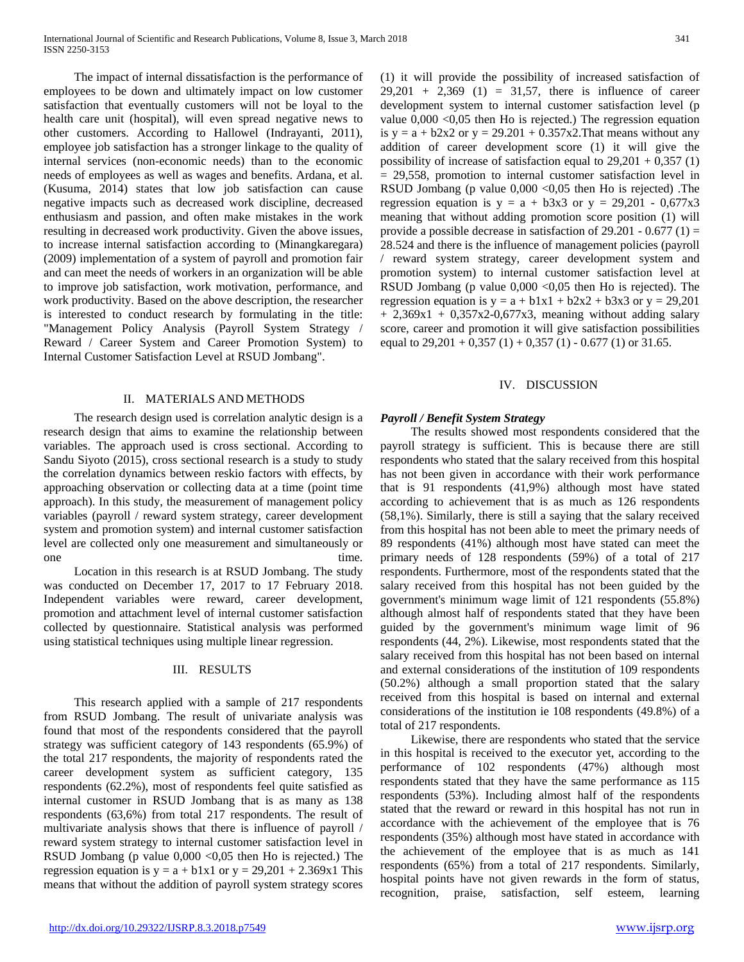The impact of internal dissatisfaction is the performance of employees to be down and ultimately impact on low customer satisfaction that eventually customers will not be loyal to the health care unit (hospital), will even spread negative news to other customers. According to Hallowel (Indrayanti, 2011), employee job satisfaction has a stronger linkage to the quality of internal services (non-economic needs) than to the economic needs of employees as well as wages and benefits. Ardana, et al. (Kusuma, 2014) states that low job satisfaction can cause negative impacts such as decreased work discipline, decreased enthusiasm and passion, and often make mistakes in the work resulting in decreased work productivity. Given the above issues, to increase internal satisfaction according to (Minangkaregara) (2009) implementation of a system of payroll and promotion fair and can meet the needs of workers in an organization will be able to improve job satisfaction, work motivation, performance, and work productivity. Based on the above description, the researcher is interested to conduct research by formulating in the title: "Management Policy Analysis (Payroll System Strategy / Reward / Career System and Career Promotion System) to Internal Customer Satisfaction Level at RSUD Jombang".

#### II. MATERIALS AND METHODS

 The research design used is correlation analytic design is a research design that aims to examine the relationship between variables. The approach used is cross sectional. According to Sandu Siyoto (2015), cross sectional research is a study to study the correlation dynamics between reskio factors with effects, by approaching observation or collecting data at a time (point time approach). In this study, the measurement of management policy variables (payroll / reward system strategy, career development system and promotion system) and internal customer satisfaction level are collected only one measurement and simultaneously or one time.

 Location in this research is at RSUD Jombang. The study was conducted on December 17, 2017 to 17 February 2018. Independent variables were reward, career development, promotion and attachment level of internal customer satisfaction collected by questionnaire. Statistical analysis was performed using statistical techniques using multiple linear regression.

#### III. RESULTS

 This research applied with a sample of 217 respondents from RSUD Jombang. The result of univariate analysis was found that most of the respondents considered that the payroll strategy was sufficient category of 143 respondents (65.9%) of the total 217 respondents, the majority of respondents rated the career development system as sufficient category, 135 respondents (62.2%), most of respondents feel quite satisfied as internal customer in RSUD Jombang that is as many as 138 respondents (63,6%) from total 217 respondents. The result of multivariate analysis shows that there is influence of payroll / reward system strategy to internal customer satisfaction level in RSUD Jombang (p value  $0.000 \le 0.05$  then Ho is rejected.) The regression equation is  $y = a + b1x1$  or  $y = 29,201 + 2.369x1$  This means that without the addition of payroll system strategy scores (1) it will provide the possibility of increased satisfaction of  $29,201 + 2,369$  (1) = 31,57, there is influence of career development system to internal customer satisfaction level (p value 0,000 <0,05 then Ho is rejected.) The regression equation is  $y = a + b2x^2$  or  $y = 29.201 + 0.357x^2$ . That means without any addition of career development score (1) it will give the possibility of increase of satisfaction equal to  $29,201 + 0,357$  (1) = 29,558, promotion to internal customer satisfaction level in RSUD Jombang (p value  $0,000 < 0,05$  then Ho is rejected). The regression equation is  $y = a + b3x3$  or  $y = 29,201 - 0,677x3$ meaning that without adding promotion score position (1) will provide a possible decrease in satisfaction of  $29.201 - 0.677(1) =$ 28.524 and there is the influence of management policies (payroll / reward system strategy, career development system and promotion system) to internal customer satisfaction level at RSUD Jombang (p value  $0,000 < 0,05$  then Ho is rejected). The regression equation is  $y = a + b1x1 + b2x2 + b3x3$  or  $y = 29,201$  $+ 2,369x1 + 0,357x2-0,677x3$ , meaning without adding salary score, career and promotion it will give satisfaction possibilities equal to  $29,201 + 0,357(1) + 0,357(1) - 0.677(1)$  or 31.65.

#### IV. DISCUSSION

#### *Payroll / Benefit System Strategy*

 The results showed most respondents considered that the payroll strategy is sufficient. This is because there are still respondents who stated that the salary received from this hospital has not been given in accordance with their work performance that is 91 respondents (41,9%) although most have stated according to achievement that is as much as 126 respondents (58,1%). Similarly, there is still a saying that the salary received from this hospital has not been able to meet the primary needs of 89 respondents (41%) although most have stated can meet the primary needs of 128 respondents (59%) of a total of 217 respondents. Furthermore, most of the respondents stated that the salary received from this hospital has not been guided by the government's minimum wage limit of 121 respondents (55.8%) although almost half of respondents stated that they have been guided by the government's minimum wage limit of 96 respondents (44, 2%). Likewise, most respondents stated that the salary received from this hospital has not been based on internal and external considerations of the institution of 109 respondents (50.2%) although a small proportion stated that the salary received from this hospital is based on internal and external considerations of the institution ie 108 respondents (49.8%) of a total of 217 respondents.

 Likewise, there are respondents who stated that the service in this hospital is received to the executor yet, according to the performance of 102 respondents (47%) although most respondents stated that they have the same performance as 115 respondents (53%). Including almost half of the respondents stated that the reward or reward in this hospital has not run in accordance with the achievement of the employee that is 76 respondents (35%) although most have stated in accordance with the achievement of the employee that is as much as 141 respondents (65%) from a total of 217 respondents. Similarly, hospital points have not given rewards in the form of status, recognition, praise, satisfaction, self esteem, learning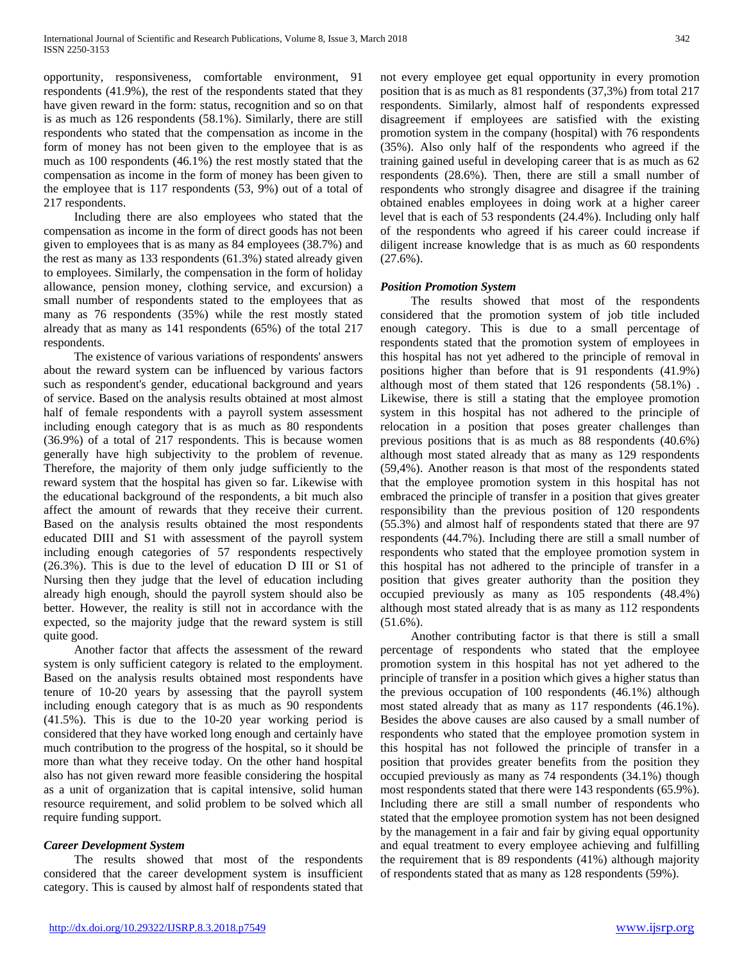opportunity, responsiveness, comfortable environment, 91 respondents (41.9%), the rest of the respondents stated that they have given reward in the form: status, recognition and so on that is as much as 126 respondents (58.1%). Similarly, there are still respondents who stated that the compensation as income in the form of money has not been given to the employee that is as much as 100 respondents (46.1%) the rest mostly stated that the compensation as income in the form of money has been given to the employee that is 117 respondents (53, 9%) out of a total of 217 respondents.

 Including there are also employees who stated that the compensation as income in the form of direct goods has not been given to employees that is as many as 84 employees (38.7%) and the rest as many as 133 respondents (61.3%) stated already given to employees. Similarly, the compensation in the form of holiday allowance, pension money, clothing service, and excursion) a small number of respondents stated to the employees that as many as 76 respondents (35%) while the rest mostly stated already that as many as 141 respondents (65%) of the total 217 respondents.

 The existence of various variations of respondents' answers about the reward system can be influenced by various factors such as respondent's gender, educational background and years of service. Based on the analysis results obtained at most almost half of female respondents with a payroll system assessment including enough category that is as much as 80 respondents (36.9%) of a total of 217 respondents. This is because women generally have high subjectivity to the problem of revenue. Therefore, the majority of them only judge sufficiently to the reward system that the hospital has given so far. Likewise with the educational background of the respondents, a bit much also affect the amount of rewards that they receive their current. Based on the analysis results obtained the most respondents educated DIII and S1 with assessment of the payroll system including enough categories of 57 respondents respectively (26.3%). This is due to the level of education D III or S1 of Nursing then they judge that the level of education including already high enough, should the payroll system should also be better. However, the reality is still not in accordance with the expected, so the majority judge that the reward system is still quite good.

 Another factor that affects the assessment of the reward system is only sufficient category is related to the employment. Based on the analysis results obtained most respondents have tenure of 10-20 years by assessing that the payroll system including enough category that is as much as 90 respondents (41.5%). This is due to the 10-20 year working period is considered that they have worked long enough and certainly have much contribution to the progress of the hospital, so it should be more than what they receive today. On the other hand hospital also has not given reward more feasible considering the hospital as a unit of organization that is capital intensive, solid human resource requirement, and solid problem to be solved which all require funding support.

## *Career Development System*

 The results showed that most of the respondents considered that the career development system is insufficient category. This is caused by almost half of respondents stated that

not every employee get equal opportunity in every promotion position that is as much as 81 respondents (37,3%) from total 217 respondents. Similarly, almost half of respondents expressed disagreement if employees are satisfied with the existing promotion system in the company (hospital) with 76 respondents (35%). Also only half of the respondents who agreed if the training gained useful in developing career that is as much as 62 respondents (28.6%). Then, there are still a small number of respondents who strongly disagree and disagree if the training obtained enables employees in doing work at a higher career level that is each of 53 respondents (24.4%). Including only half of the respondents who agreed if his career could increase if diligent increase knowledge that is as much as 60 respondents (27.6%).

## *Position Promotion System*

 The results showed that most of the respondents considered that the promotion system of job title included enough category. This is due to a small percentage of respondents stated that the promotion system of employees in this hospital has not yet adhered to the principle of removal in positions higher than before that is 91 respondents (41.9%) although most of them stated that 126 respondents (58.1%) . Likewise, there is still a stating that the employee promotion system in this hospital has not adhered to the principle of relocation in a position that poses greater challenges than previous positions that is as much as 88 respondents (40.6%) although most stated already that as many as 129 respondents (59,4%). Another reason is that most of the respondents stated that the employee promotion system in this hospital has not embraced the principle of transfer in a position that gives greater responsibility than the previous position of 120 respondents (55.3%) and almost half of respondents stated that there are 97 respondents (44.7%). Including there are still a small number of respondents who stated that the employee promotion system in this hospital has not adhered to the principle of transfer in a position that gives greater authority than the position they occupied previously as many as 105 respondents (48.4%) although most stated already that is as many as 112 respondents (51.6%).

 Another contributing factor is that there is still a small percentage of respondents who stated that the employee promotion system in this hospital has not yet adhered to the principle of transfer in a position which gives a higher status than the previous occupation of 100 respondents (46.1%) although most stated already that as many as 117 respondents (46.1%). Besides the above causes are also caused by a small number of respondents who stated that the employee promotion system in this hospital has not followed the principle of transfer in a position that provides greater benefits from the position they occupied previously as many as 74 respondents (34.1%) though most respondents stated that there were 143 respondents (65.9%). Including there are still a small number of respondents who stated that the employee promotion system has not been designed by the management in a fair and fair by giving equal opportunity and equal treatment to every employee achieving and fulfilling the requirement that is 89 respondents (41%) although majority of respondents stated that as many as 128 respondents (59%).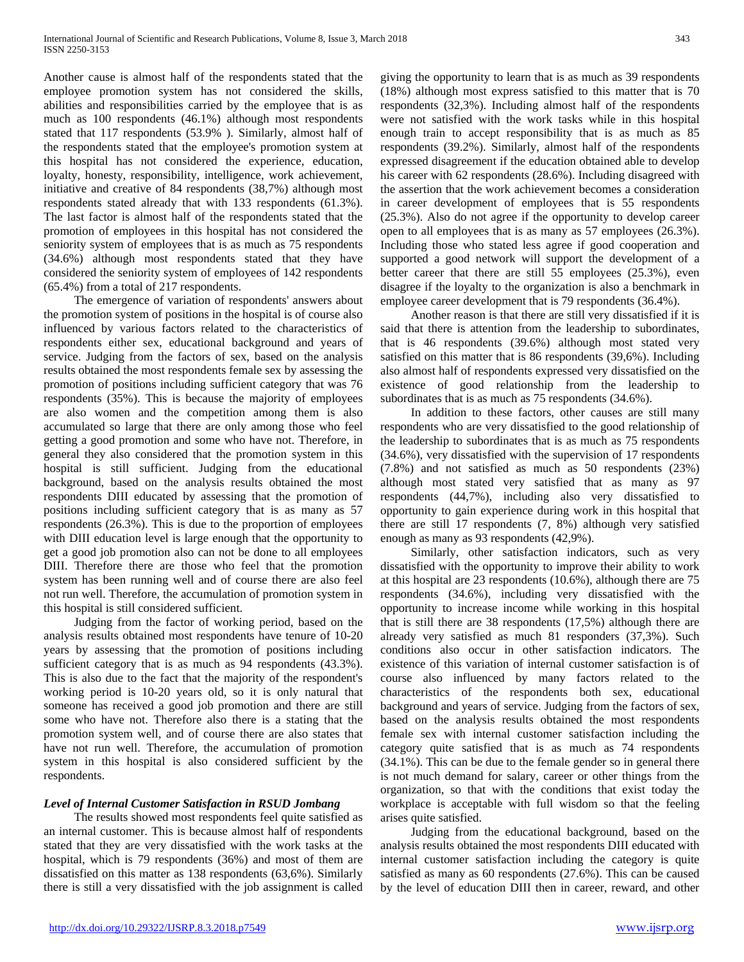Another cause is almost half of the respondents stated that the employee promotion system has not considered the skills, abilities and responsibilities carried by the employee that is as much as 100 respondents (46.1%) although most respondents stated that 117 respondents (53.9% ). Similarly, almost half of the respondents stated that the employee's promotion system at this hospital has not considered the experience, education, loyalty, honesty, responsibility, intelligence, work achievement, initiative and creative of 84 respondents (38,7%) although most respondents stated already that with 133 respondents (61.3%). The last factor is almost half of the respondents stated that the promotion of employees in this hospital has not considered the seniority system of employees that is as much as 75 respondents (34.6%) although most respondents stated that they have considered the seniority system of employees of 142 respondents (65.4%) from a total of 217 respondents.

 The emergence of variation of respondents' answers about the promotion system of positions in the hospital is of course also influenced by various factors related to the characteristics of respondents either sex, educational background and years of service. Judging from the factors of sex, based on the analysis results obtained the most respondents female sex by assessing the promotion of positions including sufficient category that was 76 respondents (35%). This is because the majority of employees are also women and the competition among them is also accumulated so large that there are only among those who feel getting a good promotion and some who have not. Therefore, in general they also considered that the promotion system in this hospital is still sufficient. Judging from the educational background, based on the analysis results obtained the most respondents DIII educated by assessing that the promotion of positions including sufficient category that is as many as 57 respondents (26.3%). This is due to the proportion of employees with DIII education level is large enough that the opportunity to get a good job promotion also can not be done to all employees DIII. Therefore there are those who feel that the promotion system has been running well and of course there are also feel not run well. Therefore, the accumulation of promotion system in this hospital is still considered sufficient.

 Judging from the factor of working period, based on the analysis results obtained most respondents have tenure of 10-20 years by assessing that the promotion of positions including sufficient category that is as much as 94 respondents (43.3%). This is also due to the fact that the majority of the respondent's working period is 10-20 years old, so it is only natural that someone has received a good job promotion and there are still some who have not. Therefore also there is a stating that the promotion system well, and of course there are also states that have not run well. Therefore, the accumulation of promotion system in this hospital is also considered sufficient by the respondents.

# *Level of Internal Customer Satisfaction in RSUD Jombang*

 The results showed most respondents feel quite satisfied as an internal customer. This is because almost half of respondents stated that they are very dissatisfied with the work tasks at the hospital, which is 79 respondents (36%) and most of them are dissatisfied on this matter as 138 respondents (63,6%). Similarly there is still a very dissatisfied with the job assignment is called

giving the opportunity to learn that is as much as 39 respondents (18%) although most express satisfied to this matter that is 70 respondents (32,3%). Including almost half of the respondents were not satisfied with the work tasks while in this hospital enough train to accept responsibility that is as much as 85 respondents (39.2%). Similarly, almost half of the respondents expressed disagreement if the education obtained able to develop his career with 62 respondents (28.6%). Including disagreed with the assertion that the work achievement becomes a consideration in career development of employees that is 55 respondents (25.3%). Also do not agree if the opportunity to develop career open to all employees that is as many as 57 employees (26.3%). Including those who stated less agree if good cooperation and supported a good network will support the development of a better career that there are still 55 employees (25.3%), even disagree if the loyalty to the organization is also a benchmark in employee career development that is 79 respondents (36.4%).

 Another reason is that there are still very dissatisfied if it is said that there is attention from the leadership to subordinates, that is 46 respondents (39.6%) although most stated very satisfied on this matter that is 86 respondents (39,6%). Including also almost half of respondents expressed very dissatisfied on the existence of good relationship from the leadership to subordinates that is as much as 75 respondents (34.6%).

 In addition to these factors, other causes are still many respondents who are very dissatisfied to the good relationship of the leadership to subordinates that is as much as 75 respondents (34.6%), very dissatisfied with the supervision of 17 respondents (7.8%) and not satisfied as much as 50 respondents (23%) although most stated very satisfied that as many as 97 respondents (44,7%), including also very dissatisfied to opportunity to gain experience during work in this hospital that there are still 17 respondents (7, 8%) although very satisfied enough as many as 93 respondents (42,9%).

 Similarly, other satisfaction indicators, such as very dissatisfied with the opportunity to improve their ability to work at this hospital are 23 respondents (10.6%), although there are 75 respondents (34.6%), including very dissatisfied with the opportunity to increase income while working in this hospital that is still there are 38 respondents (17,5%) although there are already very satisfied as much 81 responders (37,3%). Such conditions also occur in other satisfaction indicators. The existence of this variation of internal customer satisfaction is of course also influenced by many factors related to the characteristics of the respondents both sex, educational background and years of service. Judging from the factors of sex, based on the analysis results obtained the most respondents female sex with internal customer satisfaction including the category quite satisfied that is as much as 74 respondents (34.1%). This can be due to the female gender so in general there is not much demand for salary, career or other things from the organization, so that with the conditions that exist today the workplace is acceptable with full wisdom so that the feeling arises quite satisfied.

 Judging from the educational background, based on the analysis results obtained the most respondents DIII educated with internal customer satisfaction including the category is quite satisfied as many as 60 respondents (27.6%). This can be caused by the level of education DIII then in career, reward, and other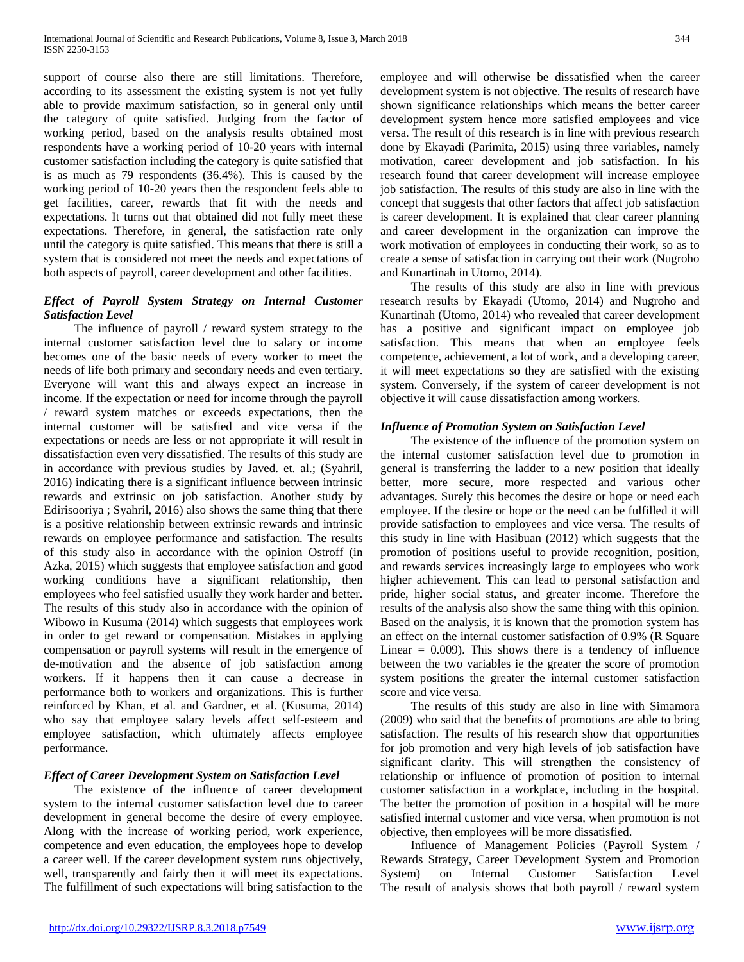support of course also there are still limitations. Therefore, according to its assessment the existing system is not yet fully able to provide maximum satisfaction, so in general only until the category of quite satisfied. Judging from the factor of working period, based on the analysis results obtained most respondents have a working period of 10-20 years with internal customer satisfaction including the category is quite satisfied that is as much as 79 respondents (36.4%). This is caused by the working period of 10-20 years then the respondent feels able to get facilities, career, rewards that fit with the needs and expectations. It turns out that obtained did not fully meet these expectations. Therefore, in general, the satisfaction rate only until the category is quite satisfied. This means that there is still a system that is considered not meet the needs and expectations of both aspects of payroll, career development and other facilities.

# *Effect of Payroll System Strategy on Internal Customer Satisfaction Level*

 The influence of payroll / reward system strategy to the internal customer satisfaction level due to salary or income becomes one of the basic needs of every worker to meet the needs of life both primary and secondary needs and even tertiary. Everyone will want this and always expect an increase in income. If the expectation or need for income through the payroll / reward system matches or exceeds expectations, then the internal customer will be satisfied and vice versa if the expectations or needs are less or not appropriate it will result in dissatisfaction even very dissatisfied. The results of this study are in accordance with previous studies by Javed. et. al.; (Syahril, 2016) indicating there is a significant influence between intrinsic rewards and extrinsic on job satisfaction. Another study by Edirisooriya ; Syahril, 2016) also shows the same thing that there is a positive relationship between extrinsic rewards and intrinsic rewards on employee performance and satisfaction. The results of this study also in accordance with the opinion Ostroff (in Azka, 2015) which suggests that employee satisfaction and good working conditions have a significant relationship, then employees who feel satisfied usually they work harder and better. The results of this study also in accordance with the opinion of Wibowo in Kusuma (2014) which suggests that employees work in order to get reward or compensation. Mistakes in applying compensation or payroll systems will result in the emergence of de-motivation and the absence of job satisfaction among workers. If it happens then it can cause a decrease in performance both to workers and organizations. This is further reinforced by Khan, et al. and Gardner, et al. (Kusuma, 2014) who say that employee salary levels affect self-esteem and employee satisfaction, which ultimately affects employee performance.

# *Effect of Career Development System on Satisfaction Level*

 The existence of the influence of career development system to the internal customer satisfaction level due to career development in general become the desire of every employee. Along with the increase of working period, work experience, competence and even education, the employees hope to develop a career well. If the career development system runs objectively, well, transparently and fairly then it will meet its expectations. The fulfillment of such expectations will bring satisfaction to the employee and will otherwise be dissatisfied when the career development system is not objective. The results of research have shown significance relationships which means the better career development system hence more satisfied employees and vice versa. The result of this research is in line with previous research done by Ekayadi (Parimita, 2015) using three variables, namely motivation, career development and job satisfaction. In his research found that career development will increase employee job satisfaction. The results of this study are also in line with the concept that suggests that other factors that affect job satisfaction is career development. It is explained that clear career planning and career development in the organization can improve the work motivation of employees in conducting their work, so as to create a sense of satisfaction in carrying out their work (Nugroho and Kunartinah in Utomo, 2014).

 The results of this study are also in line with previous research results by Ekayadi (Utomo, 2014) and Nugroho and Kunartinah (Utomo, 2014) who revealed that career development has a positive and significant impact on employee job satisfaction. This means that when an employee feels competence, achievement, a lot of work, and a developing career, it will meet expectations so they are satisfied with the existing system. Conversely, if the system of career development is not objective it will cause dissatisfaction among workers.

# *Influence of Promotion System on Satisfaction Level*

 The existence of the influence of the promotion system on the internal customer satisfaction level due to promotion in general is transferring the ladder to a new position that ideally better, more secure, more respected and various other advantages. Surely this becomes the desire or hope or need each employee. If the desire or hope or the need can be fulfilled it will provide satisfaction to employees and vice versa. The results of this study in line with Hasibuan (2012) which suggests that the promotion of positions useful to provide recognition, position, and rewards services increasingly large to employees who work higher achievement. This can lead to personal satisfaction and pride, higher social status, and greater income. Therefore the results of the analysis also show the same thing with this opinion. Based on the analysis, it is known that the promotion system has an effect on the internal customer satisfaction of 0.9% (R Square Linear  $= 0.009$ . This shows there is a tendency of influence between the two variables ie the greater the score of promotion system positions the greater the internal customer satisfaction score and vice versa.

 The results of this study are also in line with Simamora (2009) who said that the benefits of promotions are able to bring satisfaction. The results of his research show that opportunities for job promotion and very high levels of job satisfaction have significant clarity. This will strengthen the consistency of relationship or influence of promotion of position to internal customer satisfaction in a workplace, including in the hospital. The better the promotion of position in a hospital will be more satisfied internal customer and vice versa, when promotion is not objective, then employees will be more dissatisfied.

 Influence of Management Policies (Payroll System / Rewards Strategy, Career Development System and Promotion<br>System) on Internal Customer Satisfaction Level System) on Internal Customer Satisfaction Level The result of analysis shows that both payroll / reward system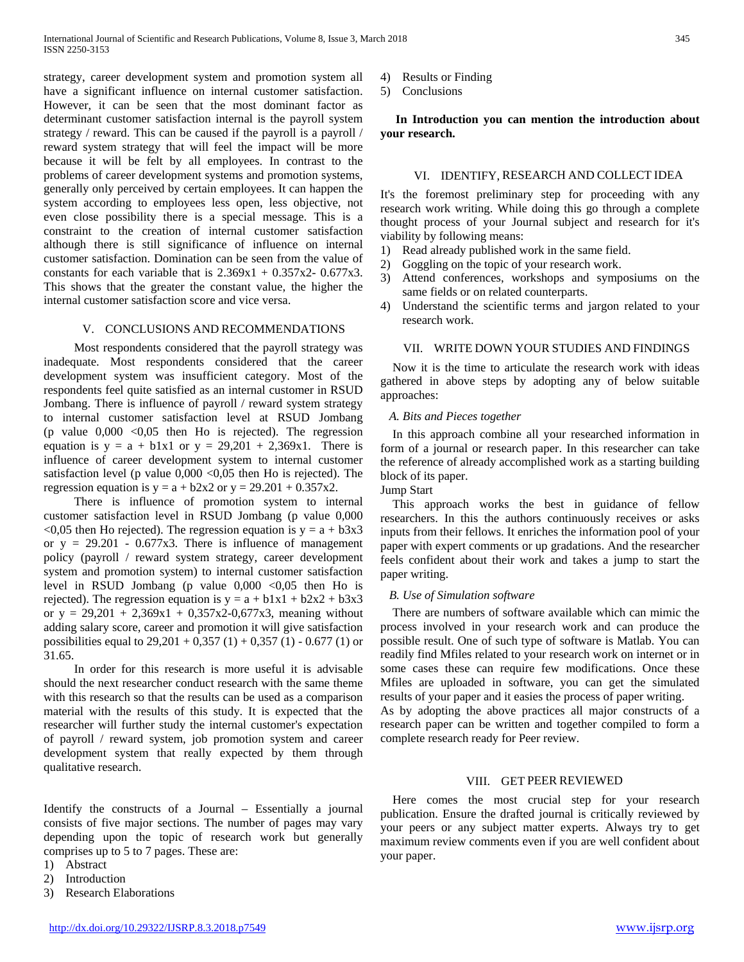strategy, career development system and promotion system all have a significant influence on internal customer satisfaction. However, it can be seen that the most dominant factor as determinant customer satisfaction internal is the payroll system strategy / reward. This can be caused if the payroll is a payroll / reward system strategy that will feel the impact will be more because it will be felt by all employees. In contrast to the problems of career development systems and promotion systems, generally only perceived by certain employees. It can happen the system according to employees less open, less objective, not even close possibility there is a special message. This is a constraint to the creation of internal customer satisfaction although there is still significance of influence on internal customer satisfaction. Domination can be seen from the value of constants for each variable that is  $2.369x1 + 0.357x2 - 0.677x3$ . This shows that the greater the constant value, the higher the internal customer satisfaction score and vice versa.

#### V. CONCLUSIONS AND RECOMMENDATIONS

 Most respondents considered that the payroll strategy was inadequate. Most respondents considered that the career development system was insufficient category. Most of the respondents feel quite satisfied as an internal customer in RSUD Jombang. There is influence of payroll / reward system strategy to internal customer satisfaction level at RSUD Jombang (p value  $0,000 < 0,05$  then Ho is rejected). The regression equation is  $y = a + b1x1$  or  $y = 29,201 + 2,369x1$ . There is influence of career development system to internal customer satisfaction level (p value  $0,000 < 0,05$  then Ho is rejected). The regression equation is  $y = a + b2x2$  or  $y = 29.201 + 0.357x2$ .

 There is influence of promotion system to internal customer satisfaction level in RSUD Jombang (p value 0,000  $\leq 0.05$  then Ho rejected). The regression equation is  $y = a + b3x3$ or  $y = 29.201 - 0.677x3$ . There is influence of management policy (payroll / reward system strategy, career development system and promotion system) to internal customer satisfaction level in RSUD Jombang (p value  $0,000 < 0,05$  then Ho is rejected). The regression equation is  $y = a + b1x1 + b2x2 + b3x3$ or  $y = 29,201 + 2,369x1 + 0,357x2-0,677x3$ , meaning without adding salary score, career and promotion it will give satisfaction possibilities equal to  $29,201 + 0,357 (1) + 0,357 (1) - 0.677 (1)$  or 31.65.

 In order for this research is more useful it is advisable should the next researcher conduct research with the same theme with this research so that the results can be used as a comparison material with the results of this study. It is expected that the researcher will further study the internal customer's expectation of payroll / reward system, job promotion system and career development system that really expected by them through qualitative research.

Identify the constructs of a Journal – Essentially a journal consists of five major sections. The number of pages may vary depending upon the topic of research work but generally comprises up to 5 to 7 pages. These are:

1) Abstract

2) Introduction

3) Research Elaborations

4) Results or Finding

5) Conclusions

 **In Introduction you can mention the introduction about your research.** 

#### VI. IDENTIFY, RESEARCH AND COLLECT IDEA

It's the foremost preliminary step for proceeding with any research work writing. While doing this go through a complete thought process of your Journal subject and research for it's viability by following means:

- 1) Read already published work in the same field.
- 2) Goggling on the topic of your research work.
- 3) Attend conferences, workshops and symposiums on the same fields or on related counterparts.
- 4) Understand the scientific terms and jargon related to your research work.

## VII. WRITE DOWN YOUR STUDIES AND FINDINGS

 Now it is the time to articulate the research work with ideas gathered in above steps by adopting any of below suitable approaches:

#### *A. Bits and Pieces together*

 In this approach combine all your researched information in form of a journal or research paper. In this researcher can take the reference of already accomplished work as a starting building block of its paper.

Jump Start

 This approach works the best in guidance of fellow researchers. In this the authors continuously receives or asks inputs from their fellows. It enriches the information pool of your paper with expert comments or up gradations. And the researcher feels confident about their work and takes a jump to start the paper writing.

#### *B. Use of Simulation software*

 There are numbers of software available which can mimic the process involved in your research work and can produce the possible result. One of such type of software is Matlab. You can readily find Mfiles related to your research work on internet or in some cases these can require few modifications. Once these Mfiles are uploaded in software, you can get the simulated results of your paper and it easies the process of paper writing.

As by adopting the above practices all major constructs of a research paper can be written and together compiled to form a complete research ready for Peer review.

## VIII. GET PEER REVIEWED

 Here comes the most crucial step for your research publication. Ensure the drafted journal is critically reviewed by your peers or any subject matter experts. Always try to get maximum review comments even if you are well confident about your paper.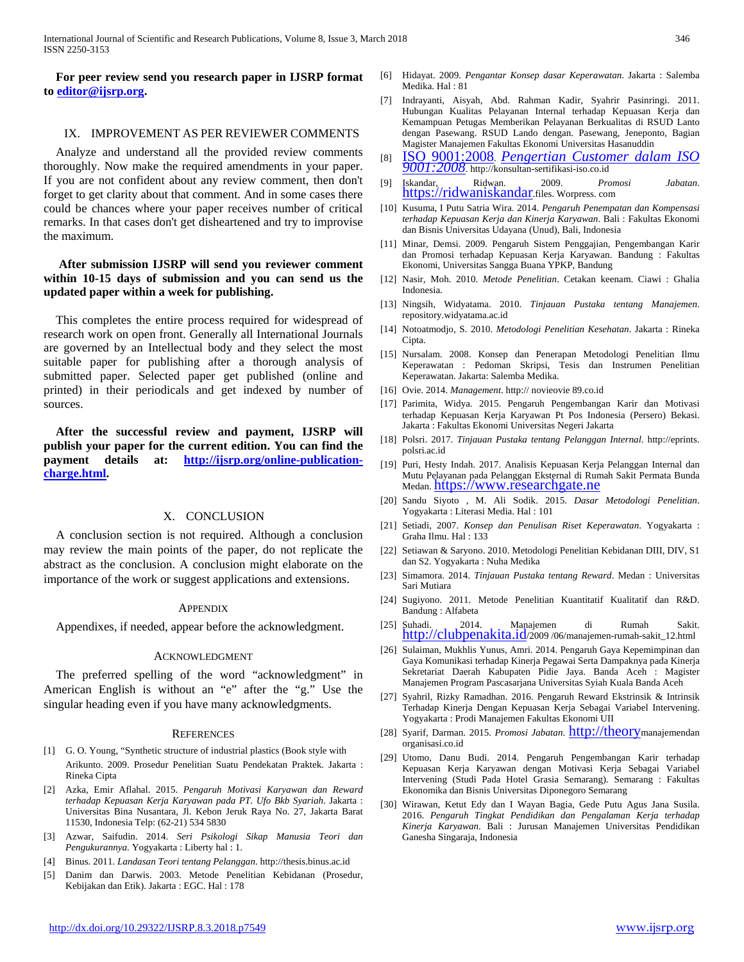**For peer review send you research paper in IJSRP format to [editor@ijsrp.org.](mailto:editor@ijsrp.org)**

## IX. IMPROVEMENT AS PER REVIEWER COMMENTS

 Analyze and understand all the provided review comments thoroughly. Now make the required amendments in your paper. If you are not confident about any review comment, then don't forget to get clarity about that comment. And in some cases there could be chances where your paper receives number of critical remarks. In that cases don't get disheartened and try to improvise the maximum.

## **After submission IJSRP will send you reviewer comment within 10-15 days of submission and you can send us the updated paper within a week for publishing.**

 This completes the entire process required for widespread of research work on open front. Generally all International Journals are governed by an Intellectual body and they select the most suitable paper for publishing after a thorough analysis of submitted paper. Selected paper get published (online and printed) in their periodicals and get indexed by number of sources.

 **After the successful review and payment, IJSRP will publish your paper for the current edition. You can find the payment details at: [http://ijsrp.org/online-publication](http://ijsrp.org/online-publication-charge.html)[charge.html.](http://ijsrp.org/online-publication-charge.html)**

#### X. CONCLUSION

A conclusion section is not required. Although a conclusion may review the main points of the paper, do not replicate the abstract as the conclusion. A conclusion might elaborate on the importance of the work or suggest applications and extensions.

#### **APPENDIX**

Appendixes, if needed, appear before the acknowledgment.

#### ACKNOWLEDGMENT

The preferred spelling of the word "acknowledgment" in American English is without an "e" after the "g." Use the singular heading even if you have many acknowledgments.

#### **REFERENCES**

- [1] G. O. Young, "Synthetic structure of industrial plastics (Book style with Arikunto. 2009. Prosedur Penelitian Suatu Pendekatan Praktek. Jakarta : Rineka Cipta
- [2] Azka, Emir Aflahal. 2015. *Pengaruh Motivasi Karyawan dan Reward terhadap Kepuasan Kerja Karyawan pada PT. Ufo Bkb Syariah*. Jakarta : Universitas Bina Nusantara, Jl. Kebon Jeruk Raya No. 27, Jakarta Barat 11530, Indonesia Telp: (62-21) 534 5830
- [3] Azwar, Saifudin. 2014. *Seri Psikologi Sikap Manusia Teori dan Pengukurannya.* Yogyakarta : Liberty hal : 1.
- [4] Binus. 2011. *Landasan Teori tentang Pelanggan*. http://thesis.binus.ac.id
- [5] Danim dan Darwis. 2003. Metode Penelitian Kebidanan (Prosedur, Kebijakan dan Etik). Jakarta : EGC. Hal : 178
- [6] Hidayat. 2009. *Pengantar Konsep dasar Keperawatan*. Jakarta : Salemba Medika. Hal : 81
- [7] Indrayanti, Aisyah, Abd. Rahman Kadir, Syahrir Pasinringi. 2011. Hubungan Kualitas Pelayanan Internal terhadap Kepuasan Kerja dan Kemampuan Petugas Memberikan Pelayanan Berkualitas di RSUD Lanto dengan Pasewang. RSUD Lando dengan. Pasewang, Jeneponto, Bagian Magister Manajemen Fakultas Ekonomi Universitas Hasanuddin
- [8] ISO 9001:2008*. [Pengertian Customer dalam ISO 9001:2008](http://konsultan-sertifikasi-iso.blogspot.co.id/2011/03/pengertian-customer-dalam-iso-90012008.html)*. http://konsultan-sertifikasi-iso.co.id
- [9] Iskandar, Ridwan. 2009. *Promosi Jabatan*. [https://ridwaniskandar.f](https://ridwaniskandar/)iles. Worpress. com
- [10] Kusuma, I Putu Satria Wira. 2014. *Pengaruh Penempatan dan Kompensasi terhadap Kepuasan Kerja dan Kinerja Karyawan*. Bali : Fakultas Ekonomi dan Bisnis Universitas Udayana (Unud), Bali, Indonesia
- [11] Minar, Demsi. 2009. Pengaruh Sistem Penggajian, Pengembangan Karir dan Promosi terhadap Kepuasan Kerja Karyawan. Bandung : Fakultas Ekonomi, Universitas Sangga Buana YPKP, Bandung
- [12] Nasir, Moh. 2010. *Metode Penelitian*. Cetakan keenam. Ciawi : Ghalia Indonesia.
- [13] Ningsih, Widyatama. 2010. *Tinjauan Pustaka tentang Manajemen*. repository.widyatama.ac.id
- [14] Notoatmodjo, S. 2010. *Metodologi Penelitian Kesehatan*. Jakarta : Rineka Cipta.
- [15] Nursalam. 2008. Konsep dan Penerapan Metodologi Penelitian Ilmu Keperawatan : Pedoman Skripsi, Tesis dan Instrumen Penelitian Keperawatan. Jakarta: Salemba Medika.
- [16] Ovie. 2014. *Management*. http:// novieovie 89.co.id
- [17] Parimita, Widya. 2015. Pengaruh Pengembangan Karir dan Motivasi terhadap Kepuasan Kerja Karyawan Pt Pos Indonesia (Persero) Bekasi. Jakarta : Fakultas Ekonomi Universitas Negeri Jakarta
- [18] Polsri. 2017. *Tinjauan Pustaka tentang Pelanggan Internal*. http://eprints. polsri.ac.id
- [19] Puri, Hesty Indah. 2017. Analisis Kepuasan Kerja Pelanggan Internal dan Mutu Pelayanan pada Pelanggan Eksternal di Rumah Sakit Permata Bunda Medan[. https://www.researchgate.ne](https://www.researchgate.ne/)
- [20] Sandu Siyoto , M. Ali Sodik. 2015. *Dasar Metodologi Penelitian*. Yogyakarta : Literasi Media. Hal : 101
- [21] Setiadi, 2007. *Konsep dan Penulisan Riset Keperawatan*. Yogyakarta : Graha Ilmu. Hal : 133
- [22] Setiawan & Saryono. 2010. Metodologi Penelitian Kebidanan DIII, DIV, S1 dan S2. Yogyakarta : Nuha Medika
- [23] Simamora. 2014. *Tinjauan Pustaka tentang Reward*. Medan : Universitas Sari Mutiara
- [24] Sugiyono. 2011. Metode Penelitian Kuantitatif Kualitatif dan R&D. Bandung : Alfabeta
- [25] Suhadi. 2014. Manajemen di Rumah Sakit. [http://clubpenakita.id/2](http://clubpenakita.id/)009/06/manajemen-rumah-sakit\_12.html
- [26] Sulaiman, Mukhlis Yunus, Amri. 2014. Pengaruh Gaya Kepemimpinan dan Gaya Komunikasi terhadap Kinerja Pegawai Serta Dampaknya pada Kinerja Sekretariat Daerah Kabupaten Pidie Jaya. Banda Aceh : Magister Manajemen Program Pascasarjana Universitas Syiah Kuala Banda Aceh
- [27] Syahril, Rizky Ramadhan. 2016. Pengaruh Reward Ekstrinsik & Intrinsik Terhadap Kinerja Dengan Kepuasan Kerja Sebagai Variabel Intervening. Yogyakarta : Prodi Manajemen Fakultas Ekonomi UII
- [28] Syarif, Darman. 2015. *Promosi Jabatan*. **http://theory**manajemendan organisasi.co.id
- [29] Utomo, Danu Budi. 2014. Pengaruh Pengembangan Karir terhadap Kepuasan Kerja Karyawan dengan Motivasi Kerja Sebagai Variabel Intervening (Studi Pada Hotel Grasia Semarang). Semarang : Fakultas Ekonomika dan Bisnis Universitas Diponegoro Semarang
- [30] Wirawan, Ketut Edy dan I Wayan Bagia, Gede Putu Agus Jana Susila. 2016. *Pengaruh Tingkat Pendidikan dan Pengalaman Kerja terhadap Kinerja Karyawan*. Bali : Jurusan Manajemen Universitas Pendidikan Ganesha Singaraja, Indonesia